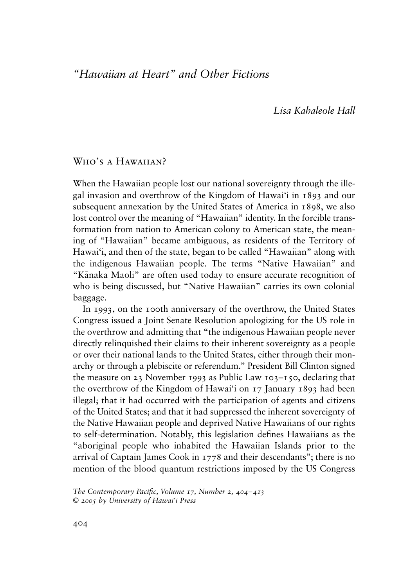# *"Hawaiian at Heart" and Other Fictions*

*Lisa Kahaleole Hall*

# W<sub>HO</sub>'s a Hawaiian?

When the Hawaiian people lost our national sovereignty through the illegal invasion and overthrow of the Kingdom of Hawai'i in 1893 and our subsequent annexation by the United States of America in 1898, we also lost control over the meaning of "Hawaiian" identity. In the forcible transformation from nation to American colony to American state, the meaning of "Hawaiian" became ambiguous, as residents of the Territory of Hawai'i, and then of the state, began to be called "Hawaiian" along with the indigenous Hawaiian people. The terms "Native Hawaiian" and "Känaka Maoli" are often used today to ensure accurate recognition of who is being discussed, but "Native Hawaiian" carries its own colonial baggage.

In 1993, on the 100th anniversary of the overthrow, the United States Congress issued a Joint Senate Resolution apologizing for the US role in the overthrow and admitting that "the indigenous Hawaiian people never directly relinquished their claims to their inherent sovereignty as a people or over their national lands to the United States, either through their monarchy or through a plebiscite or referendum." President Bill Clinton signed the measure on 23 November 1993 as Public Law  $103-150$ , declaring that the overthrow of the Kingdom of Hawai'i on 17 January 1893 had been illegal; that it had occurred with the participation of agents and citizens of the United States; and that it had suppressed the inherent sovereignty of the Native Hawaiian people and deprived Native Hawaiians of our rights to self-determination. Notably, this legislation defines Hawaiians as the "aboriginal people who inhabited the Hawaiian Islands prior to the arrival of Captain James Cook in 1778 and their descendants"; there is no mention of the blood quantum restrictions imposed by the US Congress

*The Contemporary Pacific, Volume 17, Number 2, 404–413 © 2005 by University of Hawai'i Press*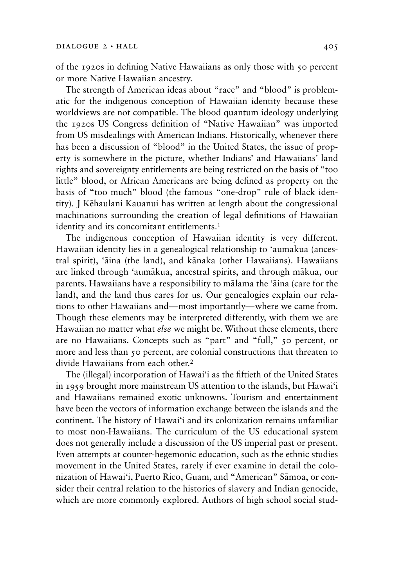of the 1920s in defining Native Hawaiians as only those with 50 percent or more Native Hawaiian ancestry.

The strength of American ideas about "race" and "blood" is problematic for the indigenous conception of Hawaiian identity because these worldviews are not compatible. The blood quantum ideology underlying the 1920s US Congress definition of "Native Hawaiian" was imported from US misdealings with American Indians. Historically, whenever there has been a discussion of "blood" in the United States, the issue of property is somewhere in the picture, whether Indians' and Hawaiians' land rights and sovereignty entitlements are being restricted on the basis of "too little" blood, or African Americans are being defined as property on the basis of "too much" blood (the famous "one-drop" rule of black identity). J Këhaulani Kauanui has written at length about the congressional machinations surrounding the creation of legal definitions of Hawaiian identity and its concomitant entitlements.<sup>1</sup>

The indigenous conception of Hawaiian identity is very different. Hawaiian identity lies in a genealogical relationship to 'aumakua (ancestral spirit), 'äina (the land), and känaka (other Hawaiians). Hawaiians are linked through 'aumäkua, ancestral spirits, and through mäkua, our parents. Hawaiians have a responsibility to mälama the 'äina (care for the land), and the land thus cares for us. Our genealogies explain our relations to other Hawaiians and—most importantly—where we came from. Though these elements may be interpreted differently, with them we are Hawaiian no matter what *else* we might be. Without these elements, there are no Hawaiians. Concepts such as "part" and "full," 50 percent, or more and less than 50 percent, are colonial constructions that threaten to divide Hawaiians from each other.2

The (illegal) incorporation of Hawai'i as the fiftieth of the United States in 1959 brought more mainstream US attention to the islands, but Hawai'i and Hawaiians remained exotic unknowns. Tourism and entertainment have been the vectors of information exchange between the islands and the continent. The history of Hawai'i and its colonization remains unfamiliar to most non-Hawaiians. The curriculum of the US educational system does not generally include a discussion of the US imperial past or present. Even attempts at counter-hegemonic education, such as the ethnic studies movement in the United States, rarely if ever examine in detail the colonization of Hawai'i, Puerto Rico, Guam, and "American" Sämoa, or consider their central relation to the histories of slavery and Indian genocide, which are more commonly explored. Authors of high school social stud-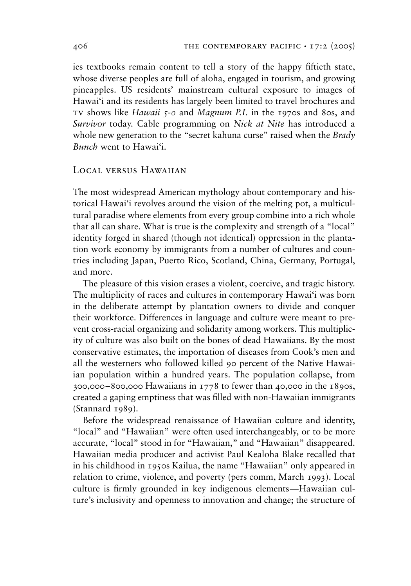ies textbooks remain content to tell a story of the happy fiftieth state, whose diverse peoples are full of aloha, engaged in tourism, and growing pineapples. US residents' mainstream cultural exposure to images of Hawai'i and its residents has largely been limited to travel brochures and tv shows like *Hawaii 5-0* and *Magnum P.I.* in the 1970s and 80s, and *Survivor* today. Cable programming on *Nick at Nite* has introduced a whole new generation to the "secret kahuna curse" raised when the *Brady Bunch* went to Hawai'i.

# LOCAL VERSUS HAWAIIAN

The most widespread American mythology about contemporary and historical Hawai'i revolves around the vision of the melting pot, a multicultural paradise where elements from every group combine into a rich whole that all can share. What is true is the complexity and strength of a "local" identity forged in shared (though not identical) oppression in the plantation work economy by immigrants from a number of cultures and countries including Japan, Puerto Rico, Scotland, China, Germany, Portugal, and more.

The pleasure of this vision erases a violent, coercive, and tragic history. The multiplicity of races and cultures in contemporary Hawai'i was born in the deliberate attempt by plantation owners to divide and conquer their workforce. Differences in language and culture were meant to prevent cross-racial organizing and solidarity among workers. This multiplicity of culture was also built on the bones of dead Hawaiians. By the most conservative estimates, the importation of diseases from Cook's men and all the westerners who followed killed 90 percent of the Native Hawaiian population within a hundred years. The population collapse, from 300,000–800,000 Hawaiians in 1778 to fewer than 40,000 in the 1890s, created a gaping emptiness that was filled with non-Hawaiian immigrants (Stannard 1989).

Before the widespread renaissance of Hawaiian culture and identity, "local" and "Hawaiian" were often used interchangeably, or to be more accurate, "local" stood in for "Hawaiian," and "Hawaiian" disappeared. Hawaiian media producer and activist Paul Kealoha Blake recalled that in his childhood in 1950s Kailua, the name "Hawaiian" only appeared in relation to crime, violence, and poverty (pers comm, March 1993). Local culture is firmly grounded in key indigenous elements—Hawaiian culture's inclusivity and openness to innovation and change; the structure of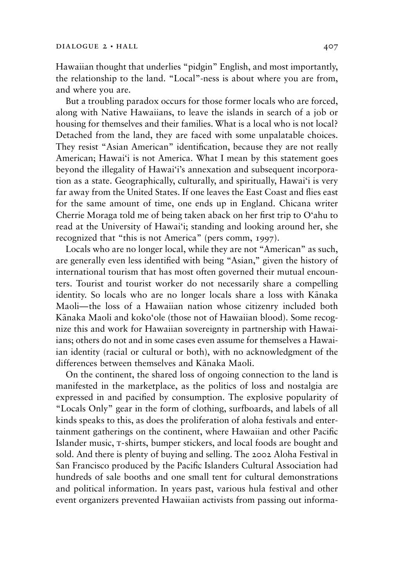Hawaiian thought that underlies "pidgin" English, and most importantly, the relationship to the land. "Local"-ness is about where you are from, and where you are.

But a troubling paradox occurs for those former locals who are forced, along with Native Hawaiians, to leave the islands in search of a job or housing for themselves and their families. What is a local who is not local? Detached from the land, they are faced with some unpalatable choices. They resist "Asian American" identification, because they are not really American; Hawai'i is not America. What I mean by this statement goes beyond the illegality of Hawai'i's annexation and subsequent incorporation as a state. Geographically, culturally, and spiritually, Hawai'i is very far away from the United States. If one leaves the East Coast and flies east for the same amount of time, one ends up in England. Chicana writer Cherrie Moraga told me of being taken aback on her first trip to O'ahu to read at the University of Hawai'i; standing and looking around her, she recognized that "this is not America" (pers comm, 1997).

Locals who are no longer local, while they are not "American" as such, are generally even less identified with being "Asian," given the history of international tourism that has most often governed their mutual encounters. Tourist and tourist worker do not necessarily share a compelling identity. So locals who are no longer locals share a loss with Känaka Maoli—the loss of a Hawaiian nation whose citizenry included both Känaka Maoli and koko'ole (those not of Hawaiian blood). Some recognize this and work for Hawaiian sovereignty in partnership with Hawaiians; others do not and in some cases even assume for themselves a Hawaiian identity (racial or cultural or both), with no acknowledgment of the differences between themselves and Känaka Maoli.

On the continent, the shared loss of ongoing connection to the land is manifested in the marketplace, as the politics of loss and nostalgia are expressed in and pacified by consumption. The explosive popularity of "Locals Only" gear in the form of clothing, surfboards, and labels of all kinds speaks to this, as does the proliferation of aloha festivals and entertainment gatherings on the continent, where Hawaiian and other Pacific Islander music, t-shirts, bumper stickers, and local foods are bought and sold. And there is plenty of buying and selling. The 2002 Aloha Festival in San Francisco produced by the Pacific Islanders Cultural Association had hundreds of sale booths and one small tent for cultural demonstrations and political information. In years past, various hula festival and other event organizers prevented Hawaiian activists from passing out informa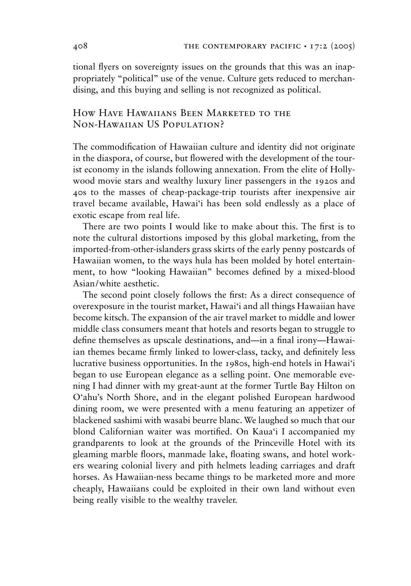tional flyers on sovereignty issues on the grounds that this was an inappropriately "political" use of the venue. Culture gets reduced to merchandising, and this buying and selling is not recognized as political.

# How Have Hawaiians Been Marketed to the Non-Hawaiian US Population?

The commodification of Hawaiian culture and identity did not originate in the diaspora, of course, but flowered with the development of the tourist economy in the islands following annexation. From the elite of Hollywood movie stars and wealthy luxury liner passengers in the 1920s and 40s to the masses of cheap-package-trip tourists after inexpensive air travel became available, Hawai'i has been sold endlessly as a place of exotic escape from real life.

There are two points I would like to make about this. The first is to note the cultural distortions imposed by this global marketing, from the imported-from-other-islanders grass skirts of the early penny postcards of Hawaiian women, to the ways hula has been molded by hotel entertainment, to how "looking Hawaiian" becomes defined by a mixed-blood Asian/white aesthetic.

The second point closely follows the first: As a direct consequence of overexposure in the tourist market, Hawai'i and all things Hawaiian have become kitsch. The expansion of the air travel market to middle and lower middle class consumers meant that hotels and resorts began to struggle to define themselves as upscale destinations, and—in a final irony—Hawaiian themes became firmly linked to lower-class, tacky, and definitely less lucrative business opportunities. In the 1980s, high-end hotels in Hawai'i began to use European elegance as a selling point. One memorable evening I had dinner with my great-aunt at the former Turtle Bay Hilton on O'ahu's North Shore, and in the elegant polished European hardwood dining room, we were presented with a menu featuring an appetizer of blackened sashimi with wasabi beurre blanc. We laughed so much that our blond Californian waiter was mortified. On Kaua'i I accompanied my grandparents to look at the grounds of the Princeville Hotel with its gleaming marble floors, manmade lake, floating swans, and hotel workers wearing colonial livery and pith helmets leading carriages and draft horses. As Hawaiian-ness became things to be marketed more and more cheaply, Hawaiians could be exploited in their own land without even being really visible to the wealthy traveler.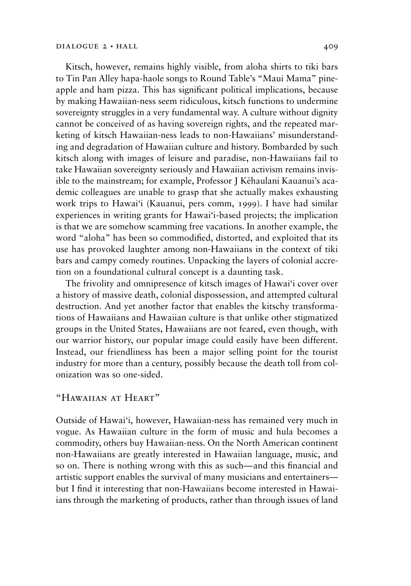Kitsch, however, remains highly visible, from aloha shirts to tiki bars to Tin Pan Alley hapa-haole songs to Round Table's "Maui Mama" pineapple and ham pizza. This has significant political implications, because by making Hawaiian-ness seem ridiculous, kitsch functions to undermine sovereignty struggles in a very fundamental way. A culture without dignity cannot be conceived of as having sovereign rights, and the repeated marketing of kitsch Hawaiian-ness leads to non-Hawaiians' misunderstanding and degradation of Hawaiian culture and history. Bombarded by such kitsch along with images of leisure and paradise, non-Hawaiians fail to take Hawaiian sovereignty seriously and Hawaiian activism remains invisible to the mainstream; for example, Professor J Këhaulani Kauanui's academic colleagues are unable to grasp that she actually makes exhausting work trips to Hawai'i (Kauanui, pers comm, 1999). I have had similar experiences in writing grants for Hawai'i-based projects; the implication is that we are somehow scamming free vacations. In another example, the word "aloha" has been so commodified, distorted, and exploited that its use has provoked laughter among non-Hawaiians in the context of tiki bars and campy comedy routines. Unpacking the layers of colonial accretion on a foundational cultural concept is a daunting task.

The frivolity and omnipresence of kitsch images of Hawai'i cover over a history of massive death, colonial dispossession, and attempted cultural destruction. And yet another factor that enables the kitschy transformations of Hawaiians and Hawaiian culture is that unlike other stigmatized groups in the United States, Hawaiians are not feared, even though, with our warrior history, our popular image could easily have been different. Instead, our friendliness has been a major selling point for the tourist industry for more than a century, possibly because the death toll from colonization was so one-sided.

# "Hawaiian at Heart"

Outside of Hawai'i, however, Hawaiian-ness has remained very much in vogue. As Hawaiian culture in the form of music and hula becomes a commodity, others buy Hawaiian-ness. On the North American continent non-Hawaiians are greatly interested in Hawaiian language, music, and so on. There is nothing wrong with this as such—and this financial and artistic support enables the survival of many musicians and entertainers but I find it interesting that non-Hawaiians become interested in Hawaiians through the marketing of products, rather than through issues of land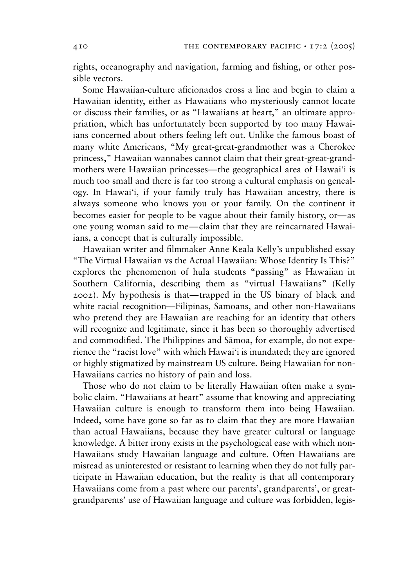rights, oceanography and navigation, farming and fishing, or other possible vectors.

Some Hawaiian-culture aficionados cross a line and begin to claim a Hawaiian identity, either as Hawaiians who mysteriously cannot locate or discuss their families, or as "Hawaiians at heart," an ultimate appropriation, which has unfortunately been supported by too many Hawaiians concerned about others feeling left out. Unlike the famous boast of many white Americans, "My great-great-grandmother was a Cherokee princess," Hawaiian wannabes cannot claim that their great-great-grandmothers were Hawaiian princesses—the geographical area of Hawai'i is much too small and there is far too strong a cultural emphasis on genealogy. In Hawai'i, if your family truly has Hawaiian ancestry, there is always someone who knows you or your family. On the continent it becomes easier for people to be vague about their family history, or—as one young woman said to me—claim that they are reincarnated Hawaiians, a concept that is culturally impossible.

Hawaiian writer and filmmaker Anne Keala Kelly's unpublished essay "The Virtual Hawaiian vs the Actual Hawaiian: Whose Identity Is This?" explores the phenomenon of hula students "passing" as Hawaiian in Southern California, describing them as "virtual Hawaiians" (Kelly 2002). My hypothesis is that—trapped in the US binary of black and white racial recognition—Filipinas, Samoans, and other non-Hawaiians who pretend they are Hawaiian are reaching for an identity that others will recognize and legitimate, since it has been so thoroughly advertised and commodified. The Philippines and Sämoa, for example, do not experience the "racist love" with which Hawai'i is inundated; they are ignored or highly stigmatized by mainstream US culture. Being Hawaiian for non-Hawaiians carries no history of pain and loss.

Those who do not claim to be literally Hawaiian often make a symbolic claim. "Hawaiians at heart" assume that knowing and appreciating Hawaiian culture is enough to transform them into being Hawaiian. Indeed, some have gone so far as to claim that they are more Hawaiian than actual Hawaiians, because they have greater cultural or language knowledge. A bitter irony exists in the psychological ease with which non-Hawaiians study Hawaiian language and culture. Often Hawaiians are misread as uninterested or resistant to learning when they do not fully participate in Hawaiian education, but the reality is that all contemporary Hawaiians come from a past where our parents', grandparents', or greatgrandparents' use of Hawaiian language and culture was forbidden, legis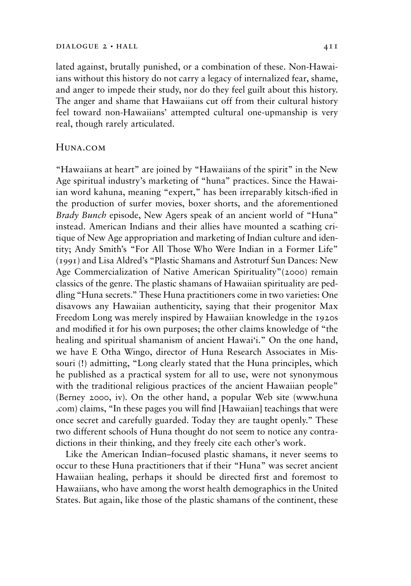lated against, brutally punished, or a combination of these. Non-Hawaiians without this history do not carry a legacy of internalized fear, shame, and anger to impede their study, nor do they feel guilt about this history. The anger and shame that Hawaiians cut off from their cultural history feel toward non-Hawaiians' attempted cultural one-upmanship is very real, though rarely articulated.

## Huna.com

"Hawaiians at heart" are joined by "Hawaiians of the spirit" in the New Age spiritual industry's marketing of "huna" practices. Since the Hawaiian word kahuna, meaning "expert," has been irreparably kitsch-ified in the production of surfer movies, boxer shorts, and the aforementioned *Brady Bunch* episode, New Agers speak of an ancient world of "Huna" instead. American Indians and their allies have mounted a scathing critique of New Age appropriation and marketing of Indian culture and identity; Andy Smith's "For All Those Who Were Indian in a Former Life" (1991) and Lisa Aldred's "Plastic Shamans and Astroturf Sun Dances: New Age Commercialization of Native American Spirituality"(2000) remain classics of the genre. The plastic shamans of Hawaiian spirituality are peddling "Huna secrets." These Huna practitioners come in two varieties: One disavows any Hawaiian authenticity, saying that their progenitor Max Freedom Long was merely inspired by Hawaiian knowledge in the 1920s and modified it for his own purposes; the other claims knowledge of "the healing and spiritual shamanism of ancient Hawai'i." On the one hand, we have E Otha Wingo, director of Huna Research Associates in Missouri (!) admitting, "Long clearly stated that the Huna principles, which he published as a practical system for all to use, were not synonymous with the traditional religious practices of the ancient Hawaiian people" (Berney 2000, iv). On the other hand, a popular Web site (www.huna .com) claims, "In these pages you will find [Hawaiian] teachings that were once secret and carefully guarded. Today they are taught openly." These two different schools of Huna thought do not seem to notice any contradictions in their thinking, and they freely cite each other's work.

Like the American Indian–focused plastic shamans, it never seems to occur to these Huna practitioners that if their "Huna" was secret ancient Hawaiian healing, perhaps it should be directed first and foremost to Hawaiians, who have among the worst health demographics in the United States. But again, like those of the plastic shamans of the continent, these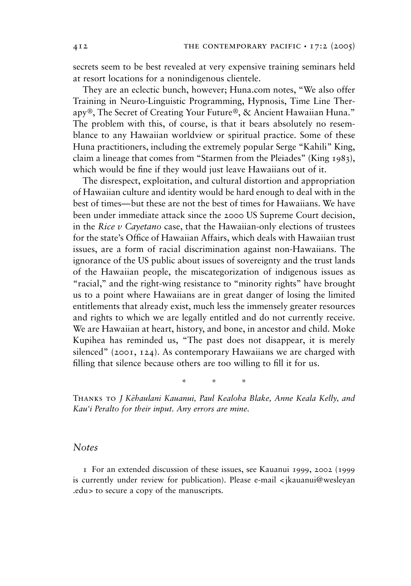secrets seem to be best revealed at very expensive training seminars held at resort locations for a nonindigenous clientele.

They are an eclectic bunch, however; Huna.com notes, "We also offer Training in Neuro-Linguistic Programming, Hypnosis, Time Line Therapy®, The Secret of Creating Your Future®, & Ancient Hawaiian Huna." The problem with this, of course, is that it bears absolutely no resemblance to any Hawaiian worldview or spiritual practice. Some of these Huna practitioners, including the extremely popular Serge "Kahili" King, claim a lineage that comes from "Starmen from the Pleiades" (King 1983), which would be fine if they would just leave Hawaiians out of it.

The disrespect, exploitation, and cultural distortion and appropriation of Hawaiian culture and identity would be hard enough to deal with in the best of times—but these are not the best of times for Hawaiians. We have been under immediate attack since the 2000 US Supreme Court decision, in the *Rice v Cayetano* case, that the Hawaiian-only elections of trustees for the state's Office of Hawaiian Affairs, which deals with Hawaiian trust issues, are a form of racial discrimination against non-Hawaiians. The ignorance of the US public about issues of sovereignty and the trust lands of the Hawaiian people, the miscategorization of indigenous issues as "racial," and the right-wing resistance to "minority rights" have brought us to a point where Hawaiians are in great danger of losing the limited entitlements that already exist, much less the immensely greater resources and rights to which we are legally entitled and do not currently receive. We are Hawaiian at heart, history, and bone, in ancestor and child. Moke Kupihea has reminded us, "The past does not disappear, it is merely silenced" (2001, 124). As contemporary Hawaiians we are charged with filling that silence because others are too willing to fill it for us.

\*\*\*

Thanks to *J Këhaulani Kauanui, Paul Kealoha Blake, Anne Keala Kelly, and Kau'i Peralto for their input. Any errors are mine.*

### *Notes*

1 For an extended discussion of these issues, see Kauanui 1999, 2002 (1999 is currently under review for publication). Please e-mail < jkauanui@wesleyan .edu> to secure a copy of the manuscripts.